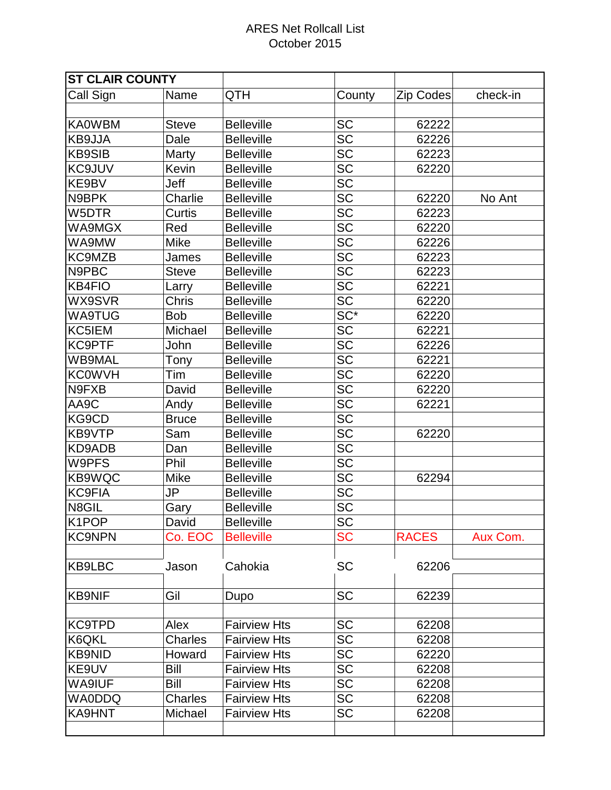| <b>ST CLAIR COUNTY</b> |              |                     |                 |                  |          |
|------------------------|--------------|---------------------|-----------------|------------------|----------|
| Call Sign              | Name         | QTH                 | County          | <b>Zip Codes</b> | check-in |
| <b>KA0WBM</b>          | <b>Steve</b> | <b>Belleville</b>   | <b>SC</b>       | 62222            |          |
| KB9JJA                 | Dale         | <b>Belleville</b>   | <b>SC</b>       | 62226            |          |
| <b>KB9SIB</b>          | Marty        | <b>Belleville</b>   | <b>SC</b>       | 62223            |          |
| <b>KC9JUV</b>          | Kevin        | <b>Belleville</b>   | <b>SC</b>       | 62220            |          |
| KE9BV                  | Jeff         | <b>Belleville</b>   | $\overline{SC}$ |                  |          |
| N9BPK                  | Charlie      | <b>Belleville</b>   | <b>SC</b>       | 62220            | No Ant   |
| W5DTR                  | Curtis       | <b>Belleville</b>   | SC              | 62223            |          |
| WA9MGX                 | Red          | <b>Belleville</b>   | <b>SC</b>       | 62220            |          |
| WA9MW                  | <b>Mike</b>  | <b>Belleville</b>   | <b>SC</b>       | 62226            |          |
| KC9MZB                 | James        | <b>Belleville</b>   | $\overline{SC}$ | 62223            |          |
| N9PBC                  | <b>Steve</b> | <b>Belleville</b>   | <b>SC</b>       | 62223            |          |
| KB4FIO                 | Larry        | <b>Belleville</b>   | <b>SC</b>       | 62221            |          |
| WX9SVR                 | <b>Chris</b> | <b>Belleville</b>   | $\overline{SC}$ | 62220            |          |
| <b>WA9TUG</b>          | <b>Bob</b>   | <b>Belleville</b>   | $SC^*$          | 62220            |          |
| KC5IEM                 | Michael      | <b>Belleville</b>   | SC              | 62221            |          |
| <b>KC9PTF</b>          | John         | <b>Belleville</b>   | $\overline{SC}$ | 62226            |          |
| <b>WB9MAL</b>          | Tony         | <b>Belleville</b>   | <b>SC</b>       | 62221            |          |
| <b>KC0WVH</b>          | Tim          | <b>Belleville</b>   | <b>SC</b>       | 62220            |          |
| N9FXB                  | David        | <b>Belleville</b>   | <b>SC</b>       | 62220            |          |
| AA9C                   | Andy         | <b>Belleville</b>   | <b>SC</b>       | 62221            |          |
| KG9CD                  | <b>Bruce</b> | <b>Belleville</b>   | $\overline{SC}$ |                  |          |
| KB9VTP                 | Sam          | <b>Belleville</b>   | <b>SC</b>       | 62220            |          |
| KD9ADB                 | Dan          | <b>Belleville</b>   | <b>SC</b>       |                  |          |
| W9PFS                  | Phil         | <b>Belleville</b>   | <b>SC</b>       |                  |          |
| KB9WQC                 | Mike         | <b>Belleville</b>   | <b>SC</b>       | 62294            |          |
| <b>KC9FIA</b>          | JP           | <b>Belleville</b>   | <b>SC</b>       |                  |          |
| N8GIL                  | Gary         | <b>Belleville</b>   | <b>SC</b>       |                  |          |
| K <sub>1</sub> POP     | David        | <b>Belleville</b>   | <b>SC</b>       |                  |          |
| <b>KC9NPN</b>          | Co. EOC      | <b>Belleville</b>   | <b>SC</b>       | <b>RACES</b>     | Aux Com. |
| <b>KB9LBC</b>          | Jason        | Cahokia             | <b>SC</b>       | 62206            |          |
| <b>KB9NIF</b>          | Gil          | Dupo                | <b>SC</b>       | 62239            |          |
| <b>KC9TPD</b>          | Alex         | <b>Fairview Hts</b> | <b>SC</b>       | 62208            |          |
| K6QKL                  | Charles      | <b>Fairview Hts</b> | <b>SC</b>       | 62208            |          |
| <b>KB9NID</b>          | Howard       | <b>Fairview Hts</b> | <b>SC</b>       | 62220            |          |
| KE9UV                  | <b>Bill</b>  | <b>Fairview Hts</b> | <b>SC</b>       | 62208            |          |
| WA9IUF                 | <b>Bill</b>  | <b>Fairview Hts</b> | <b>SC</b>       | 62208            |          |
| <b>WA0DDQ</b>          | Charles      | <b>Fairview Hts</b> | <b>SC</b>       | 62208            |          |
| KA9HNT                 | Michael      | <b>Fairview Hts</b> | <b>SC</b>       | 62208            |          |
|                        |              |                     |                 |                  |          |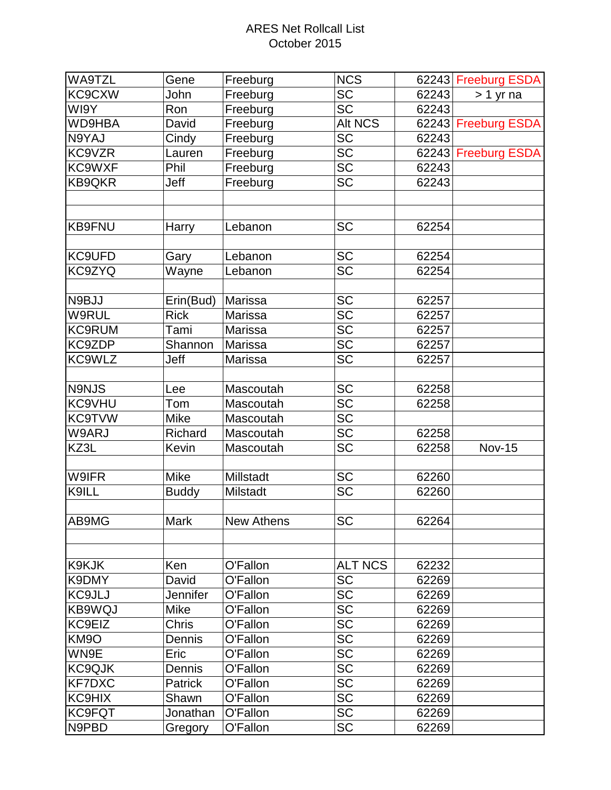| WA9TZL            | Gene            | Freeburg   | <b>NCS</b>      |       | 62243 Freeburg ESDA |
|-------------------|-----------------|------------|-----------------|-------|---------------------|
| KC9CXW            | John            | Freeburg   | $\overline{SC}$ | 62243 | $> 1$ yr na         |
| WI9Y              | Ron             | Freeburg   | <b>SC</b>       | 62243 |                     |
| WD9HBA            | David           | Freeburg   | Alt NCS         |       | 62243 Freeburg ESDA |
| N9YAJ             | Cindy           | Freeburg   | <b>SC</b>       | 62243 |                     |
| KC9VZR            | Lauren          | Freeburg   | <b>SC</b>       |       | 62243 Freeburg ESDA |
| KC9WXF            | Phil            | Freeburg   | SC              | 62243 |                     |
| <b>KB9QKR</b>     | Jeff            | Freeburg   | <b>SC</b>       | 62243 |                     |
|                   |                 |            |                 |       |                     |
|                   |                 |            |                 |       |                     |
| <b>KB9FNU</b>     | Harry           | Lebanon    | SC              | 62254 |                     |
|                   |                 |            |                 |       |                     |
| KC9UFD            | Gary            | Lebanon    | <b>SC</b>       | 62254 |                     |
| KC9ZYQ            | Wayne           | Lebanon    | <b>SC</b>       | 62254 |                     |
|                   |                 |            |                 |       |                     |
| N9BJJ             | Erin(Bud)       | Marissa    | <b>SC</b>       | 62257 |                     |
| W9RUL             | <b>Rick</b>     | Marissa    | <b>SC</b>       | 62257 |                     |
| <b>KC9RUM</b>     | Tami            | Marissa    | <b>SC</b>       | 62257 |                     |
| KC9ZDP            | Shannon         | Marissa    | <b>SC</b>       | 62257 |                     |
| KC9WLZ            | Jeff            | Marissa    | <b>SC</b>       | 62257 |                     |
|                   |                 |            |                 |       |                     |
| N9NJS             | Lee             | Mascoutah  | <b>SC</b>       | 62258 |                     |
| KC9VHU            | Tom             | Mascoutah  | <b>SC</b>       | 62258 |                     |
| <b>KC9TVW</b>     | <b>Mike</b>     | Mascoutah  | $\overline{SC}$ |       |                     |
| W9ARJ             | Richard         | Mascoutah  | <b>SC</b>       | 62258 |                     |
| KZ3L              | Kevin           | Mascoutah  | <b>SC</b>       | 62258 | <b>Nov-15</b>       |
|                   |                 |            |                 |       |                     |
| W9IFR             | <b>Mike</b>     | Millstadt  | <b>SC</b>       | 62260 |                     |
| K9ILL             | <b>Buddy</b>    | Milstadt   | <b>SC</b>       | 62260 |                     |
|                   |                 |            |                 |       |                     |
| AB9MG             | Mark            | New Athens | <b>SC</b>       | 62264 |                     |
|                   |                 |            |                 |       |                     |
|                   |                 |            |                 |       |                     |
| K9KJK             | Ken             | O'Fallon   | <b>ALT NCS</b>  | 62232 |                     |
| K9DMY             | David           | O'Fallon   | <b>SC</b>       | 62269 |                     |
| KC9JLJ            | <b>Jennifer</b> | O'Fallon   | <b>SC</b>       | 62269 |                     |
| KB9WQJ            | Mike            | O'Fallon   | <b>SC</b>       | 62269 |                     |
| KC9EIZ            | <b>Chris</b>    | O'Fallon   | <b>SC</b>       | 62269 |                     |
| KM <sub>9</sub> O | Dennis          | O'Fallon   | <b>SC</b>       | 62269 |                     |
| WN9E              | Eric            | O'Fallon   | <b>SC</b>       | 62269 |                     |
| KC9QJK            | Dennis          | O'Fallon   | <b>SC</b>       | 62269 |                     |
| <b>KF7DXC</b>     | Patrick         | O'Fallon   | <b>SC</b>       | 62269 |                     |
| KC9HIX            | Shawn           | O'Fallon   | <b>SC</b>       | 62269 |                     |
| <b>KC9FQT</b>     | Jonathan        | O'Fallon   | <b>SC</b>       | 62269 |                     |
| N9PBD             | Gregory         | O'Fallon   | <b>SC</b>       | 62269 |                     |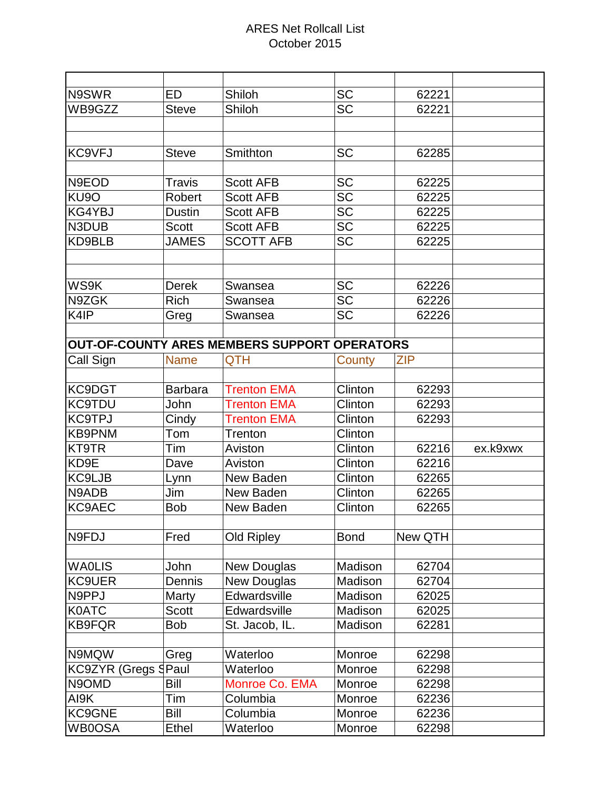| N9SWR                      | <b>ED</b>                                           | Shiloh             | <b>SC</b>   | 62221      |          |
|----------------------------|-----------------------------------------------------|--------------------|-------------|------------|----------|
| WB9GZZ                     | <b>Steve</b>                                        | Shiloh             | <b>SC</b>   | 62221      |          |
|                            |                                                     |                    |             |            |          |
|                            |                                                     |                    |             |            |          |
| KC9VFJ                     | <b>Steve</b>                                        | Smithton           | <b>SC</b>   | 62285      |          |
|                            |                                                     |                    |             |            |          |
| N9EOD                      | <b>Travis</b>                                       | <b>Scott AFB</b>   | <b>SC</b>   | 62225      |          |
| KU <sub>9</sub> O          | Robert                                              | <b>Scott AFB</b>   | <b>SC</b>   | 62225      |          |
| KG4YBJ                     | <b>Dustin</b>                                       | <b>Scott AFB</b>   | <b>SC</b>   | 62225      |          |
| N3DUB                      | <b>Scott</b>                                        | <b>Scott AFB</b>   | <b>SC</b>   | 62225      |          |
| KD9BLB                     | <b>JAMES</b>                                        | <b>SCOTT AFB</b>   | <b>SC</b>   | 62225      |          |
|                            |                                                     |                    |             |            |          |
|                            |                                                     |                    |             |            |          |
| WS9K                       | <b>Derek</b>                                        | Swansea            | <b>SC</b>   | 62226      |          |
| N9ZGK                      | <b>Rich</b>                                         | Swansea            | <b>SC</b>   | 62226      |          |
| K4IP                       | Greg                                                | Swansea            | <b>SC</b>   | 62226      |          |
|                            |                                                     |                    |             |            |          |
|                            | <b>OUT-OF-COUNTY ARES MEMBERS SUPPORT OPERATORS</b> |                    |             |            |          |
| Call Sign                  | <b>Name</b>                                         | <b>QTH</b>         | County      | <b>ZIP</b> |          |
|                            |                                                     |                    |             |            |          |
| KC9DGT                     | <b>Barbara</b>                                      | <b>Trenton EMA</b> | Clinton     | 62293      |          |
| <b>KC9TDU</b>              | John                                                | <b>Trenton EMA</b> | Clinton     | 62293      |          |
| <b>KC9TPJ</b>              | Cindy                                               | <b>Trenton EMA</b> | Clinton     | 62293      |          |
| <b>KB9PNM</b>              | Tom                                                 | <b>Trenton</b>     | Clinton     |            |          |
| <b>KT9TR</b>               | Tim                                                 | Aviston            | Clinton     | 62216      | ex.k9xwx |
| KD9E                       | Dave                                                | Aviston            | Clinton     | 62216      |          |
| KC9LJB                     | Lynn                                                | New Baden          | Clinton     | 62265      |          |
| N9ADB                      | Jim                                                 | New Baden          | Clinton     | 62265      |          |
| KC9AEC                     | <b>Bob</b>                                          | New Baden          | Clinton     | 62265      |          |
|                            |                                                     |                    |             |            |          |
| N9FDJ                      | Fred                                                | <b>Old Ripley</b>  | <b>Bond</b> | New QTH    |          |
|                            |                                                     |                    |             |            |          |
| <b>WAOLIS</b>              | John                                                | New Douglas        | Madison     | 62704      |          |
| <b>KC9UER</b>              | Dennis                                              | New Douglas        | Madison     | 62704      |          |
| N9PPJ                      | Marty                                               | Edwardsville       | Madison     | 62025      |          |
| <b>K0ATC</b>               | <b>Scott</b>                                        | Edwardsville       | Madison     | 62025      |          |
| <b>KB9FQR</b>              | <b>Bob</b>                                          | St. Jacob, IL.     | Madison     | 62281      |          |
|                            |                                                     |                    |             |            |          |
| N9MQW                      | Greg                                                | Waterloo           | Monroe      | 62298      |          |
| <b>KC9ZYR (Gregs SPaul</b> |                                                     | Waterloo           | Monroe      | 62298      |          |
| N9OMD                      | Bill                                                | Monroe Co. EMA     | Monroe      | 62298      |          |
| AI9K                       | Tim                                                 | Columbia           | Monroe      | 62236      |          |
| KC9GNE                     | Bill                                                | Columbia           | Monroe      | 62236      |          |
| <b>WB0OSA</b>              | Ethel                                               | Waterloo           | Monroe      | 62298      |          |